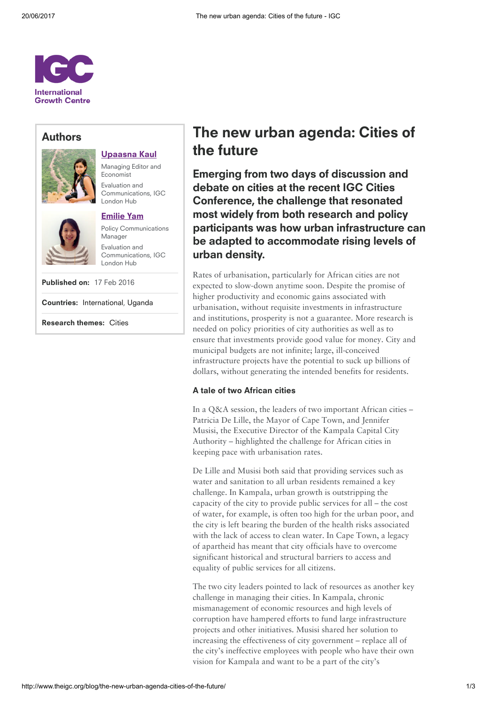

### Authors



## [Upaasna](http://www.theigc.org/person/upaasna-kaul/) Kaul

Managing Editor and Economist Evaluation and Communications, IGC London Hub

### [Emilie](http://www.theigc.org/person/emilie-yam/) Yam

Policy Communications Manager Evaluation and Communications, IGC London Hub

Published on: 17 Feb 2016

Countries: [International,](http://www.theigc.org/search/?hidden-s&select-country-cat%5B0%5D=international) [Uganda](http://www.theigc.org/search/?hidden-s&select-country-cat%5B0%5D=uganda)

Research themes: [Cities](http://www.theigc.org/search/?hidden-s&select-research-themes%5B0%5D=cities)

# The new urban agenda: Cities of the future

Emerging from two days of discussion and debate on cities at the recent IGC Cities Conference, the challenge that resonated most widely from both research and policy participants was how urban infrastructure can be adapted to accommodate rising levels of urban density.

Rates of urbanisation, particularly for African cities are not expected to slow-down anytime soon. Despite the promise of higher productivity and economic gains associated with urbanisation, without requisite investments in infrastructure and institutions, prosperity is not a guarantee. More research is needed on policy priorities of city authorities as well as to ensure that investments provide good value for money. City and municipal budgets are not infinite; large, ill-conceived infrastructure projects have the potential to suck up billions of dollars, without generating the intended benefits for residents.

### A tale of two African cities

In a Q&A session, the leaders of two important African cities – Patricia De Lille, the Mayor of Cape Town, and Jennifer Musisi, the Executive Director of the Kampala Capital City Authority – highlighted the challenge for African cities in keeping pace with urbanisation rates.

De Lille and Musisi both said that providing services such as water and sanitation to all urban residents remained a key challenge. In Kampala, urban growth is outstripping the capacity of the city to provide public services for all – the cost of water, for example, is often too high for the urban poor, and the city is left bearing the burden of the health risks associated with the lack of access to clean water. In Cape Town, a legacy of apartheid has meant that city officials have to overcome significant historical and structural barriers to access and equality of public services for all citizens.

The two city leaders pointed to lack of resources as another key challenge in managing their cities. In Kampala, chronic mismanagement of economic resources and high levels of corruption have hampered efforts to fund large infrastructure projects and other initiatives. Musisi shared her solution to increasing the effectiveness of city government – replace all of the city's ineffective employees with people who have their own vision for Kampala and want to be a part of the city's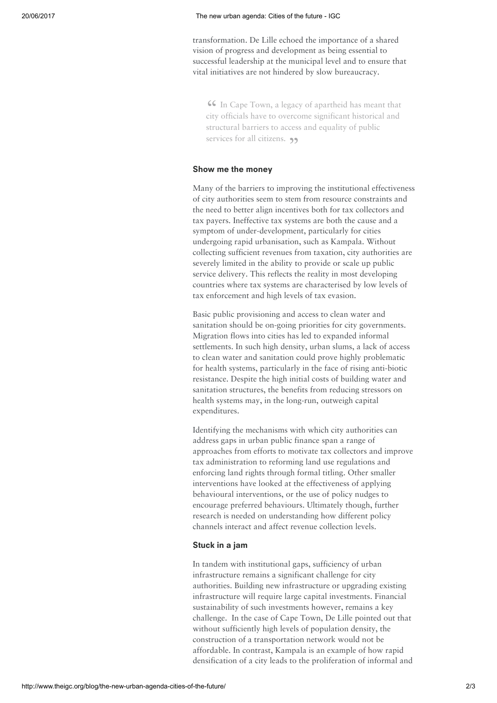transformation. De Lille echoed the importance of a shared vision of progress and development as being essential to successful leadership at the municipal level and to ensure that vital initiatives are not hindered by slow bureaucracy.

CG In Cape Town, a legacy of apartheid has meant that<br>city officials have to overcome significant historical and In Cape Town, a legacy of apartheid has meant that structural barriers to access and equality of public services for all citizens.  $\rightarrow$ 

### Show me the money

Many of the barriers to improving the institutional effectiveness of city authorities seem to stem from resource constraints and the need to better align incentives both for tax collectors and tax payers. Ineffective tax systems are both the cause and a symptom of under-development, particularly for cities undergoing rapid urbanisation, such as Kampala. Without collecting sufficient revenues from taxation, city authorities are severely limited in the ability to provide or scale up public service delivery. This reflects the reality in most developing countries where tax systems are characterised by low levels of tax enforcement and high levels of tax evasion.

Basic public provisioning and access to clean water and sanitation should be on-going priorities for city governments. Migration flows into cities has led to expanded informal settlements. In such high density, urban slums, a lack of access to clean water and sanitation could prove highly problematic for health systems, particularly in the face of rising anti-biotic resistance. Despite the high initial costs of building water and sanitation structures, the benefits from reducing stressors on health systems may, in the long-run, outweigh capital expenditures.

Identifying the mechanisms with which city authorities can address gaps in urban public finance span a range of approaches from efforts to motivate tax collectors and improve tax administration to reforming land use regulations and enforcing land rights through formal titling. Other smaller interventions have looked at the effectiveness of applying behavioural interventions, or the use of policy nudges to encourage preferred behaviours. Ultimately though, further research is needed on understanding how different policy channels interact and affect revenue collection levels.

#### Stuck in a jam

In tandem with institutional gaps, sufficiency of urban infrastructure remains a significant challenge for city authorities. Building new infrastructure or upgrading existing infrastructure will require large capital investments. Financial sustainability of such investments however, remains a key challenge. In the case of Cape Town, De Lille pointed out that without sufficiently high levels of population density, the construction of a transportation network would not be affordable. In contrast, Kampala is an example of how rapid densification of a city leads to the proliferation of informal and